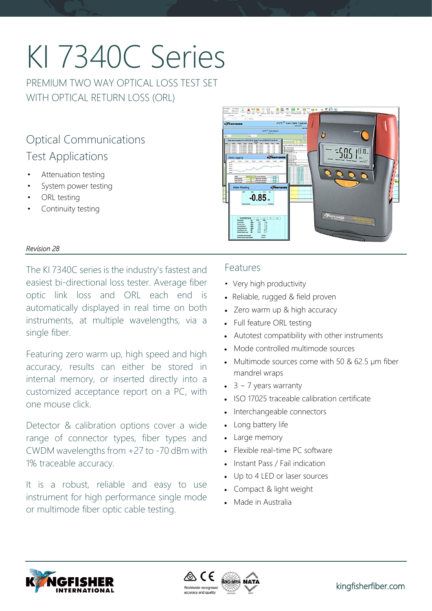# KI 7340C Series

PREMIUM TWO WAY OPTICAL LOSS TEST SET WITH OPTICAL RETURN LOSS (ORL)

# Optical Communications Test Applications

- Attenuation testing
- System power testing
- ORL testing
- Continuity testing



#### *Revision 28*

The KI 7340C series is the industry's fastest and easiest bi-directional loss tester. Average fiber optic link loss and ORL each end is automatically displayed in real time on both instruments, at multiple wavelengths, via a single fiber.

Featuring zero warm up, high speed and high accuracy, results can either be stored in internal memory, or inserted directly into a customized acceptance report on a PC, with one mouse click.

Detector & calibration options cover a wide range of connector types, fiber types and CWDM wavelengths from +27 to -70 dBm with 1% traceable accuracy.

It is a robust, reliable and easy to use instrument for high performance single mode or multimode fiber optic cable testing.

### Features

- Very high productivity
- Reliable, rugged & field proven
- Zero warm up & high accuracy
- Full feature ORL testing
- Autotest compatibility with other instruments
- Mode controlled multimode sources
- Multimode sources come with 50 & 62.5 µm fiber mandrel wraps
- $\bullet$  3 ~ 7 years warranty
- ISO 17025 traceable calibration certificate
- Interchangeable connectors
- Long battery life
- Large memory
- Flexible real-time PC software
- Instant Pass / Fail indication
- Up to 4 LED or laser sources
- Compact & light weight
- Made in Australia



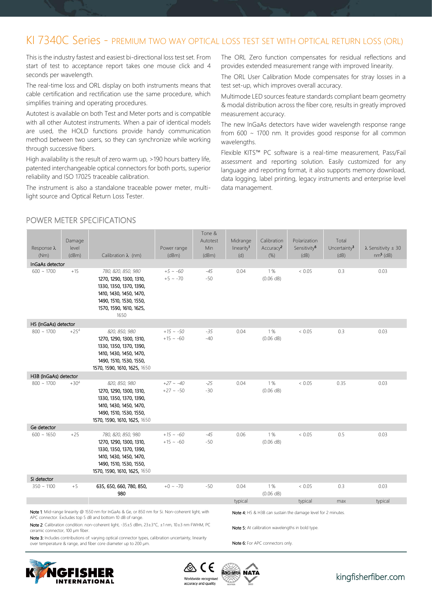## KI 7340C Series - PREMIUM TWO WAY OPTICAL LOSS TEST SET WITH OPTICAL RETURN LOSS (ORL)

This is the industry fastest and easiest bi-directional loss test set. From start of test to acceptance report takes one mouse click and 4 seconds per wavelength.

The real-time loss and ORL display on both instruments means that cable certification and rectification use the same procedure, which simplifies training and operating procedures.

Autotest is available on both Test and Meter ports and is compatible with all other Autotest instruments. When a pair of identical models are used, the HOLD functions provide handy communication method between two users, so they can synchronize while working through successive fibers.

High availability is the result of zero warm up, >190 hours battery life, patented interchangeable optical connectors for both ports, superior reliability and ISO 17025 traceable calibration.

The instrument is also a standalone traceable power meter, multilight source and Optical Return Loss Tester.

The ORL Zero function compensates for residual reflections and provides extended measurement range with improved linearity.

The ORL User Calibration Mode compensates for stray losses in a test set-up, which improves overall accuracy.

Multimode LED sources feature standards compliant beam geometry & modal distribution across the fiber core, results in greatly improved measurement accuracy.

The new InGaAs detectors have wider wavelength response range from 600 ~ 1700 nm. It provides good response for all common wavelengths.

Flexible KITS™ PC software is a real-time measurement, Pass/Fail assessment and reporting solution. Easily customized for any language and reporting format, it also supports memory download, data logging, label printing, legacy instruments and enterprise level data management.

#### POWER METER SPECIFICATIONS

| Response $\lambda$<br>(Nm)                                                                                                                                                | Damage<br>level<br>(dBm) | Calibration $\lambda$ (nm)                                                                                                                                        | Power range<br>(dBm)             | Tone &<br>Autotest<br>Min<br>(dBm)               | Midrange<br>linearity <sup>1</sup><br>(d) | Calibration<br>Accuracy <sup>2</sup><br>$(\%)$ | Polarization<br>Sensitivity <sup>6</sup><br>(dB)             | Total<br>Uncertainty <sup>3</sup><br>(dB) | $\lambda$ Sensitivity $\pm$ 30<br>$nm5$ (dB) |
|---------------------------------------------------------------------------------------------------------------------------------------------------------------------------|--------------------------|-------------------------------------------------------------------------------------------------------------------------------------------------------------------|----------------------------------|--------------------------------------------------|-------------------------------------------|------------------------------------------------|--------------------------------------------------------------|-------------------------------------------|----------------------------------------------|
| InGaAs detector                                                                                                                                                           |                          |                                                                                                                                                                   |                                  |                                                  |                                           |                                                |                                                              |                                           |                                              |
| $600 \sim 1700$                                                                                                                                                           | $+15$                    | 780, 820, 850, 980<br>1270, 1290, 1300, 1310,<br>1330, 1350, 1370, 1390,<br>1410, 1430, 1450, 1470,<br>1490, 1510, 1530, 1550,<br>1570, 1590, 1610, 1625,<br>1650 | $+5 \sim -60$<br>$+5 \sim -70$   | $-45$<br>$-50$                                   | 0.04                                      | 1%<br>(0.06 dB)                                | < 0.05                                                       | 0.3                                       | 0.03                                         |
| H5 (InGaAs) detector                                                                                                                                                      |                          |                                                                                                                                                                   |                                  |                                                  |                                           |                                                |                                                              |                                           |                                              |
| $800 \sim 1700$                                                                                                                                                           | $+254$                   | 820, 850, 980<br>1270, 1290, 1300, 1310,<br>1330, 1350, 1370, 1390,<br>1410, 1430, 1450, 1470,<br>1490, 1510, 1530, 1550,<br>1570, 1590, 1610, 1625, 1650         | $+15 \sim -50$<br>$+15 \sim -60$ | $-35$<br>$-40$                                   | 0.04                                      | 1%<br>$(0.06$ dB)                              | < 0.05                                                       | 0.3                                       | 0.03                                         |
| H3B (InGaAs) detector                                                                                                                                                     |                          |                                                                                                                                                                   |                                  |                                                  |                                           |                                                |                                                              |                                           |                                              |
| $800 \sim 1700$                                                                                                                                                           | $+30^{4}$                | 820, 850, 980<br>1270, 1290, 1300, 1310,<br>1330, 1350, 1370, 1390,<br>1410, 1430, 1450, 1470,<br>1490, 1510, 1530, 1550,<br>1570, 1590, 1610, 1625, 1650         | $+27 \sim -40$<br>$+27 \sim -50$ | $-25$<br>$-30$                                   | 0.04                                      | 1%<br>(0.06 dB)                                | < 0.05                                                       | 0.35                                      | 0.03                                         |
| Ge detector                                                                                                                                                               |                          |                                                                                                                                                                   |                                  |                                                  |                                           |                                                |                                                              |                                           |                                              |
| $600 \sim 1650$                                                                                                                                                           | $+25$                    | 780, 820, 850, 980<br>1270, 1290, 1300, 1310,<br>1330, 1350, 1370, 1390,<br>1410, 1430, 1450, 1470,<br>1490, 1510, 1530, 1550,<br>1570, 1590, 1610, 1625, 1650    | $+15 \sim -60$<br>$+15 \sim -60$ | $-45$<br>-50                                     | 0.06                                      | 1%<br>(0.06 dB)                                | < 0.05                                                       | 0.5                                       | 0.03                                         |
| Si detector                                                                                                                                                               |                          |                                                                                                                                                                   |                                  |                                                  |                                           |                                                |                                                              |                                           |                                              |
| $350 \sim 1100$                                                                                                                                                           | $+5$                     | 635, 650, 660, 780, 850,<br>980                                                                                                                                   | $+0 \sim -70$                    | $-50$                                            | 0.04                                      | 1%<br>(0.06 dB)                                | < 0.05                                                       | 0.3                                       | 0.03                                         |
|                                                                                                                                                                           |                          |                                                                                                                                                                   |                                  |                                                  | typical                                   |                                                | typical                                                      | max                                       | typical                                      |
|                                                                                                                                                                           |                          | Note 1: Mid-range linearity @ 1550 nm for InGaAs & Ge, or 850 nm for Si. Non-coherent light, with<br>APC connector. Excludes top 5 dB and bottom 10 dB of range.  |                                  |                                                  |                                           |                                                | Note 4: H5 & H3B can sustain the damage level for 2 minutes. |                                           |                                              |
| Note 2: Calibration condition: non-coherent light, -35±5 dBm, 23±3°C, ±1 nm, 10±3 nm FWHM, PC<br>ceramic connector, 100 µm fiber.                                         |                          |                                                                                                                                                                   |                                  | Note 5: At calibration wavelengths in bold type. |                                           |                                                |                                                              |                                           |                                              |
| Note 3: Includes contributions of: varying optical connector types, calibration uncertainty, linearity<br>over temperature & range, and fiber core diameter up to 200 um. |                          |                                                                                                                                                                   |                                  | Note 6: For APC connectors only.                 |                                           |                                                |                                                              |                                           |                                              |





NATA

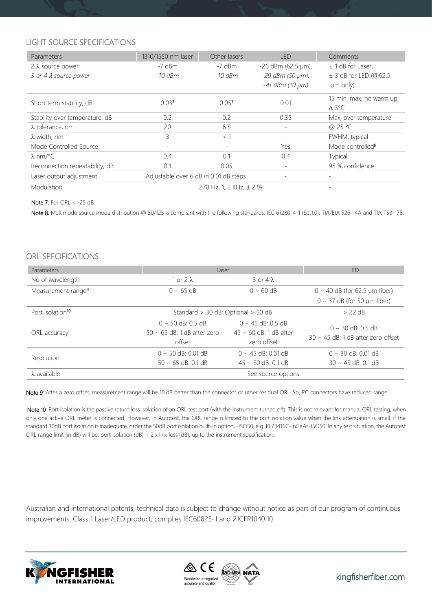#### LIGHT SOURCE SPECIFICATIONS

| Parameters                     | 1310/1550 nm laser                    | Other lasers            | <b>LED</b>             | Comments                     |
|--------------------------------|---------------------------------------|-------------------------|------------------------|------------------------------|
| $2 \lambda$ source power       | $-7$ dBm                              | $-7$ dBm                | $-26$ dBm (62.5 µm),   | $± 1$ dB for Laser,          |
| 3 or 4 $\lambda$ source power  | $-10$ dBm                             | $-10$ dBm               | -29 dBm (50 µm),       | $\pm$ 3 dB for LED (@62.5    |
|                                |                                       |                         | $-41$ dBm (10 $\mu$ m) | $µm$ only)                   |
| Short term stability, dB       | 0.037                                 | 0.057                   | 0.01                   | 15 min, max, no warm up,     |
|                                |                                       |                         |                        | $\Delta$ 3°C                 |
| Stability over temperature, dB | 0.2                                   | 0.2                     | 0.35                   | Max, over temperature        |
| $\lambda$ tolerance, nm        | 20                                    | 6.5                     | Ξ.                     | @ 25 °C                      |
| $\lambda$ width, nm            | 3                                     | $<$ 1                   |                        | FWHM, typical                |
| Mode Controlled Source         |                                       |                         | Yes                    | Mode controlled <sup>8</sup> |
| λ nm/°C                        | 0.4                                   | 0.1                     | 0.4                    | Typical                      |
| Reconnection repeatability, dB | 0.1                                   | 0.05                    | ٠.                     | 95 % confidence              |
| Laser output adjustment        | Adjustable over 6 dB in 0.01 dB steps |                         |                        |                              |
| Modulation                     |                                       | 270 Hz, 1, 2 KHz, ± 2 % |                        |                              |

Note 7: For ORL < -25 dB.

Note 8: Multimode source mode distribution @ 50/125 is compliant with the following standards: IEC 61280-4-1 {Ed.1.0}, TIA/EIA 526-14A and TIA TSB-178.

#### ORL SPECIFICATIONS

| <b>Parameters</b>                         | Laser                              |                             | <b>LED</b>                              |
|-------------------------------------------|------------------------------------|-----------------------------|-----------------------------------------|
| No of wavelength                          | $1$ or $2\lambda$                  | $3$ or $4\lambda$           |                                         |
| Measurement range <sup>9</sup>            | $0 \sim 65$ dB                     | $0 \sim 60 \text{ dB}$      | $0 \sim 40$ dB (for 62.5 µm fiber)      |
|                                           |                                    |                             | $0 \sim 37$ dB (for 50 µm fiber)        |
| Port isolation <sup>10</sup>              | Standard > 30 dB; Optional > 50 dB |                             | $> 22$ dB                               |
|                                           | $0 \sim 50$ dB: 0.5 dB             | $0 \sim 45$ dB: 0.5 dB      | $0 \sim 30$ dB: 0.5 dB                  |
| ORL accuracy                              | $50 \sim 65$ dB: 1 dB after zero   | $45 \sim 60$ dB: 1 dB after | $30 \sim 45$ dB: 1 dB after zero offset |
|                                           | offset                             | zero offset                 |                                         |
| Resolution                                | $0 \sim 50$ dB: 0.01 dB            | $0 \sim 45$ dB: 0.01 dB     | $0 \sim 30$ dB: 0.01 dB                 |
|                                           | $50 \sim 65$ dB: 0.1 dB            | $45 \approx 60$ dB: 0.1 dB  | $30 \sim 45$ dB: 0.1 dB                 |
| $\lambda$ available<br>See source options |                                    |                             |                                         |

Note 9: After a zero offset, measurement range will be 10 dB better than the connector or other residual ORL. So, PC connectors have reduced range.

Note 10: Port Isolation is the passive return loss isolation of an ORL test port (with the instrument turned off). This is not relevant for manual ORL testing, when only one active ORL meter is connected. However, in Autotest, the ORL range is limited to the port isolation value when the link attenuation is small. If the standard 30dB port isolation is inadequate, order the 50dB port isolation built-in option, -ISO50, e.g. KI 73416C-InGaAs-ISO50. In any test situation, the Autotest ORL range limit (in dB) will be: port isolation (dB) + 2 x link loss (dB), up to the instrument specification.

Australian and international patents, technical data is subject to change without notice as part of our program of continuous improvements. Class 1 Laser/LED product, complies IEC60825-1 and 21CFR1040.10



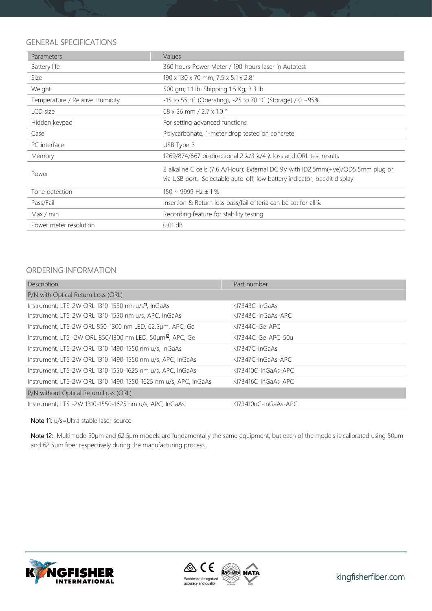#### GENERAL SPECIFICATIONS

| Parameters                      | Values                                                                                                                                                         |
|---------------------------------|----------------------------------------------------------------------------------------------------------------------------------------------------------------|
| Battery life                    | 360 hours Power Meter / 190-hours laser in Autotest                                                                                                            |
| Size                            | 190 x 130 x 70 mm, 7.5 x 5.1 x 2.8"                                                                                                                            |
| Weight                          | 500 gm, 1.1 lb. Shipping 1.5 Kg, 3.3 lb.                                                                                                                       |
| Temperature / Relative Humidity | -15 to 55 °C (Operating), -25 to 70 °C (Storage) / 0 ~95%                                                                                                      |
| LCD size                        | 68 x 26 mm / 2.7 x 1.0 "                                                                                                                                       |
| Hidden keypad                   | For setting advanced functions                                                                                                                                 |
| Case                            | Polycarbonate, 1-meter drop tested on concrete                                                                                                                 |
| PC interface                    | USB Type B                                                                                                                                                     |
| Memory                          | 1269/874/667 bi-directional 2 $\lambda$ /3 $\lambda$ /4 $\lambda$ loss and ORL test results                                                                    |
| Power                           | 2 alkaline C cells (7.6 A/Hour); External DC 9V with ID2.5mm(+ve)/OD5.5mm plug or<br>via USB port. Selectable auto-off, low battery indicator, backlit display |
| Tone detection                  | $150 \sim 9999$ Hz $\pm 1\%$                                                                                                                                   |
| Pass/Fail                       | Insertion & Return loss pass/fail criteria can be set for all $\lambda$                                                                                        |
| Max / min                       | Recording feature for stability testing                                                                                                                        |
| Power meter resolution          | $0.01$ dB                                                                                                                                                      |

#### ORDERING INFORMATION

| Description                                                           | Part number             |
|-----------------------------------------------------------------------|-------------------------|
| P/N with Optical Return Loss (ORL)                                    |                         |
| Instrument, LTS-2W ORL 1310-1550 nm u/s <sup>11</sup> , InGaAs        | KI7343C-InGaAs          |
| Instrument, LTS-2W ORL 1310-1550 nm u/s, APC, InGaAs                  | KI7343C-InGaAs-APC      |
| Instrument, LTS-2W ORL 850-1300 nm LED, 62.5um, APC, Ge               | KI7344C-Ge-APC          |
| Instrument, LTS -2W ORL 850/1300 nm LED, 50um <sup>12</sup> , APC, Ge | KI7344C-Ge-APC-50u      |
| Instrument, LTS-2W ORL 1310-1490-1550 nm u/s, InGaAs                  | KI7347C-InGaAs          |
| Instrument, LTS-2W ORL 1310-1490-1550 nm u/s, APC, InGaAs             | $K17347C$ -InGaAs-APC   |
| Instrument, LTS-2W ORL 1310-1550-1625 nm u/s, APC, InGaAs             | $K173410C$ -InGaAs-APC  |
| Instrument, LTS-2W ORL 1310-1490-1550-1625 nm u/s, APC, InGaAs        | KI73416C-InGaAs-APC     |
| P/N without Optical Return Loss (ORL)                                 |                         |
| Instrument, LTS -2W 1310-1550-1625 nm u/s, APC, InGaAs                | $K173410nC$ -InGaAs-APC |

Note 11: u/s=Ultra stable laser source

Note 12: Multimode 50µm and 62.5µm models are fundamentally the same equipment, but each of the models is calibrated using 50µm and 62.5µm fiber respectively during the manufacturing process.